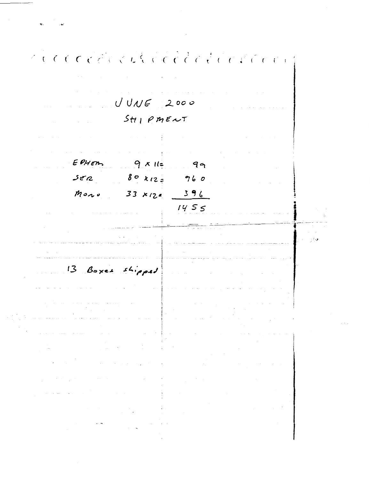riccoccions de l'alle de l'arti  $\mathcal{L}(\mathcal{A})$  and  $\mathcal{L}(\mathcal{A})$  $UVWE$  2000  $Stil$   $PMEAT$  $\mathcal{A}^{\mathcal{A}}$  and  $\mathcal{A}^{\mathcal{A}}$  are  $\mathcal{A}^{\mathcal{A}}$  . In the contribution of  $\mathcal{A}^{\mathcal{A}}$ and a state of the EPHEM  $9x11 = 99$  $80x_{12}=960$  $352$  $33 \times 124 = 396$  $M$ on v  $1455$  $-14.2$ 13 Boxes shipped  $\label{eq:2.1} \mathcal{L}(\mathcal{L}^{\text{max}}_{\text{max}}(\mathcal{L}^{\text{max}}_{\text{max}}(\mathcal{L}^{\text{max}}_{\text{max}}(\mathcal{L}^{\text{max}}_{\text{max}}(\mathcal{L}^{\text{max}}_{\text{max}}(\mathcal{L}^{\text{max}}_{\text{max}}(\mathcal{L}^{\text{max}}_{\text{max}}(\mathcal{L}^{\text{max}}_{\text{max}}(\mathcal{L}^{\text{max}}_{\text{max}}(\mathcal{L}^{\text{max}}_{\text{max}}(\mathcal{L}^{\text{max}}_{\text{max}}(\mathcal{L}^$ n an Suid  $\sim 10$  $\sim 10^{11}$  $\sim 10^{11}$  , and  $\sim 10^{11}$  $\mathcal{L}^{\mathcal{L}}(\mathcal{L}^{\mathcal{L}})$  and  $\mathcal{L}^{\mathcal{L}}(\mathcal{L}^{\mathcal{L}})$  and  $\mathcal{L}^{\mathcal{L}}(\mathcal{L}^{\mathcal{L}})$  and  $\mathcal{L}^{\mathcal{L}}(\mathcal{L}^{\mathcal{L}})$  $\chi \rightarrow$  $\overline{a}$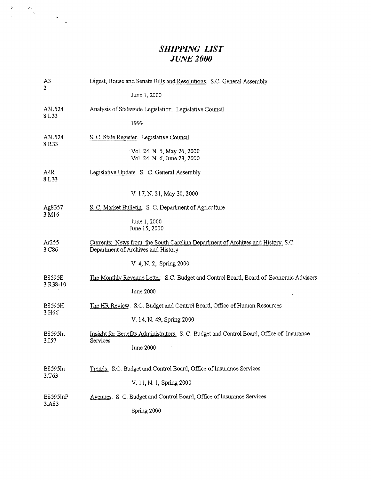## *SHIPPING LIST JUNE2000*

 $\sim 100$ 

| A <sub>3</sub>            | Digest, House and Senate Bills and Resolutions. S.C. General Assembly                                                 |  |  |  |  |  |
|---------------------------|-----------------------------------------------------------------------------------------------------------------------|--|--|--|--|--|
| 2.                        | June 1, 2000                                                                                                          |  |  |  |  |  |
| A3L524<br>8.L33           | Analysis of Statewide Legislation Legislative Council                                                                 |  |  |  |  |  |
|                           | 1999                                                                                                                  |  |  |  |  |  |
| A3L524<br>8.R33           | S. C. State Register. Legislative Council                                                                             |  |  |  |  |  |
|                           | Vol. 24, N. 5, May 26, 2000<br>Vol. 24, N. 6, June 23, 2000                                                           |  |  |  |  |  |
| A4R<br>8.L33              | Legislative Update. S. C. General Assembly                                                                            |  |  |  |  |  |
|                           | V. 17, N. 21, May 30, 2000                                                                                            |  |  |  |  |  |
| Ag8357<br>3.M16           | S. C. Market Bulletin. S. C. Department of Agriculture                                                                |  |  |  |  |  |
|                           | June 1, 2000<br>June 15, 2000                                                                                         |  |  |  |  |  |
| Ar255<br>3.C86            | Currents: News from the South Carolina Department of Archives and History, S.C.<br>Department of Archives and History |  |  |  |  |  |
|                           | V. 4, N. 2, Spring 2000                                                                                               |  |  |  |  |  |
| <b>B8595E</b><br>3.R38-10 | The Monthly Revenue Letter. S.C. Budget and Control Board, Board of Economic Advisors                                 |  |  |  |  |  |
|                           | June 2000                                                                                                             |  |  |  |  |  |
| <b>B8595H</b><br>3.H66    | The HR Review. S.C. Budget and Control Board, Office of Human Resources                                               |  |  |  |  |  |
|                           | V. 14, N. 49, Spring 2000                                                                                             |  |  |  |  |  |
| B8595In<br>3.157          | Insight for Benefits Administrators. S. C. Budget and Control Board, Office of Insurance<br>Services                  |  |  |  |  |  |
|                           | June 2000                                                                                                             |  |  |  |  |  |
| B8595In<br>3.T63          | Trends. S.C. Budget and Control Board, Office of Insurance Services                                                   |  |  |  |  |  |
|                           | V. 11, N. 1, Spring 2000                                                                                              |  |  |  |  |  |
| B8595InP<br>3.A83         | Avenues. S. C. Budget and Control Board, Office of Insurance Services                                                 |  |  |  |  |  |
|                           | Spring 2000                                                                                                           |  |  |  |  |  |

 $\sim 10^{-1}$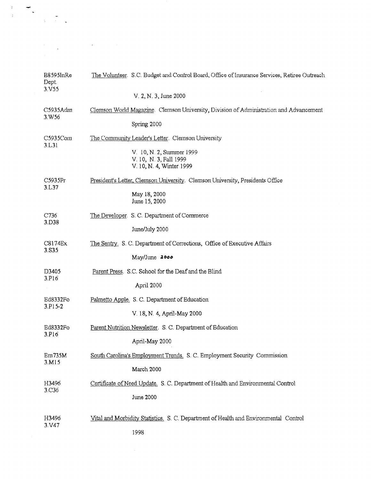| The Volunteer. S.C. Budget and Control Board, Office of Insurance Services, Retiree Outreach |
|----------------------------------------------------------------------------------------------|
| V. 2, N. 3, June 2000                                                                        |
| Clemson World Magazine. Clemson University, Division of Administration and Advancement       |
| Spring 2000                                                                                  |
| The Community Leader's Letter. Clemson University                                            |
| V. 10, N. 2, Summer 1999<br>V. 10, N. 3, Fall 1999<br>V. 10, N 4, Winter 1999                |
| President's Letter, Clemson University. Clemson University, Presidents Office                |
| May 18, 2000<br>June 15, 2000                                                                |
| The Developer. S. C. Department of Commerce                                                  |
| June/July 2000                                                                               |
| The Sentry, S. C. Department of Corrections, Office of Executive Affairs                     |
| May/June 2000                                                                                |
| Parent Press. S.C. School for the Deaf and the Blind                                         |
| April 2000                                                                                   |
| Palmetto Apple. S. C. Department of Education                                                |
| V. 18, N. 4, April-May 2000                                                                  |
| Parent Nutrition Newsletter. S. C. Department of Education                                   |
| April-May 2000                                                                               |
| South Carolina's Employment Trends. S. C. Employment Security Commission                     |
| March 2000                                                                                   |
| Certificate of Need Update. S. C. Department of Health and Environmental Control             |
| <b>June 2000</b>                                                                             |
| Vital and Morbidity Statistics. S. C. Department of Health and Environmental Control         |
| 1998                                                                                         |
|                                                                                              |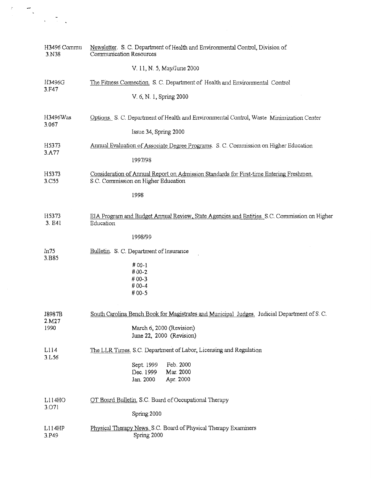| H3496 Commu<br>3.N38 | Newsletter. S. C. Department of Health and Environmental Control, Division of<br>Communication Resources                       |  |  |
|----------------------|--------------------------------------------------------------------------------------------------------------------------------|--|--|
|                      | V. 11, N. 5, May/June 2000                                                                                                     |  |  |
| H3496G<br>3.F47      | The Fitness Connection. S. C. Department of Health and Environmental Control                                                   |  |  |
|                      | V. 6, N. 1, Spring 2000                                                                                                        |  |  |
| H3496Was<br>3.067    | Options. S. C. Department of Health and Environmental Control, Waste Minimization Center                                       |  |  |
|                      | Issue 34, Spring 2000                                                                                                          |  |  |
| H5373<br>3.A77       | Annual Evaluation of Associate Degree Programs. S. C. Commission on Higher Education                                           |  |  |
|                      | 1997/98                                                                                                                        |  |  |
| H5373<br>3.C55       | Consideration of Annual Report on Admission Standards for First-time Entering Freshmen.<br>S.C. Commission on Higher Education |  |  |
|                      | 1998                                                                                                                           |  |  |
| H5373<br>3. E41      | EIA Program and Budget Annual Review, State Agencies and Entities. S.C. Commission on Higher<br>Education                      |  |  |
|                      | 1998/99                                                                                                                        |  |  |
| In75<br>3.B85        | Bulletin. S. C. Department of Insurance                                                                                        |  |  |
|                      | #00-1<br>#00-2                                                                                                                 |  |  |
|                      | #00-3<br>#00-4                                                                                                                 |  |  |
|                      | #00-5                                                                                                                          |  |  |
| J8987B<br>2.M27      | South Carolina Bench Book for Magistrates and Municipal Judges. Judicial Department of S. C.                                   |  |  |
| 1990                 | March 6, 2000 (Revision)<br>June 22, 2000 (Revision)                                                                           |  |  |
| L114<br>3.1.56       | The LLR Times, S.C. Department of Labor, Licensing and Regulation                                                              |  |  |
|                      | Feb. 2000<br>Sept. 1999<br>Mar. 2000                                                                                           |  |  |
|                      | Dec. 1999<br>Jan. 2000<br>Apr. 2000                                                                                            |  |  |
| L114HO<br>3.071      | OT Board Bulletin, S.C. Board of Occupational Therapy                                                                          |  |  |
|                      | Spring 2000                                                                                                                    |  |  |
| L114HP<br>3.P49      | Physical Therapy News, S.C. Board of Physical Therapy Examiners<br>Spring 2000                                                 |  |  |

 $\ddot{\cdot}$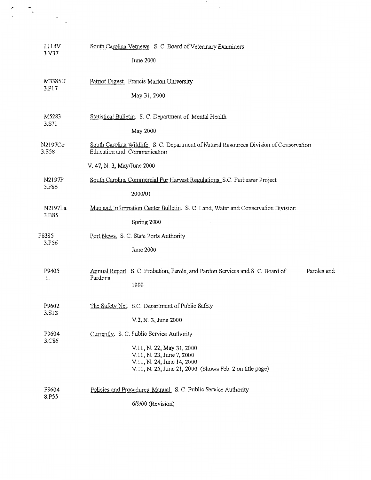| L114V<br>3. V37  | South Carolina Vetnews. S. C. Board of Veterinary Examiners<br>June 2000                                                                        |  |  |  |  |  |  |
|------------------|-------------------------------------------------------------------------------------------------------------------------------------------------|--|--|--|--|--|--|
| M3385U<br>3.P17  | Patriot Digest. Francis Marion University<br>May 31, 2000                                                                                       |  |  |  |  |  |  |
| M5283<br>3.S71   | Statistical Bulletin. S. C. Department of Mental Health<br>May 2000                                                                             |  |  |  |  |  |  |
| N2197Co<br>3.S58 | South Carolina Wildlife. S. C. Department of Natural Resources Division of Conservation<br>Education and Communication                          |  |  |  |  |  |  |
|                  | V. 47, N. 3, May/June 2000                                                                                                                      |  |  |  |  |  |  |
| N2197F<br>5.F86  | South Carolina Commercial Fur Harvest Regulations. S.C. Furbearer Project                                                                       |  |  |  |  |  |  |
|                  | 2000/01                                                                                                                                         |  |  |  |  |  |  |
| N2197La<br>3.B85 | Map and Information Center Bulletin. S. C. Land, Water and Conservation Division                                                                |  |  |  |  |  |  |
|                  | Spring 2000                                                                                                                                     |  |  |  |  |  |  |
| P8385<br>3.P56   | Port News. S. C. State Ports Authority                                                                                                          |  |  |  |  |  |  |
|                  | June 2000                                                                                                                                       |  |  |  |  |  |  |
| P9405<br>1.      | Annual Report. S. C. Probation, Parole, and Pardon Services and S. C. Board of<br>Paroles and<br>Pardons<br>1999                                |  |  |  |  |  |  |
| P9602            | The Safety Net. S.C. Department of Public Safety                                                                                                |  |  |  |  |  |  |
| 3.S13            | V.2, N. 3, June 2000                                                                                                                            |  |  |  |  |  |  |
| P9604<br>3.C86   | Currently. S. C. Public Service Authority                                                                                                       |  |  |  |  |  |  |
|                  | V.11, N. 22, May 31, 2000<br>V.11, N. 23, June 7, 2000<br>V.11, N. 24, June 14, 2000<br>V.11, N. 25, June 21, 2000 (Shows Feb. 2 on title page) |  |  |  |  |  |  |
| P9604            | Policies and Procedures Manual. S. C. Public Service Authority                                                                                  |  |  |  |  |  |  |
| 8.P55            | 6/9/00 (Revision)                                                                                                                               |  |  |  |  |  |  |

 $\tilde{\phantom{a}}$ 

 $\frac{1}{2}$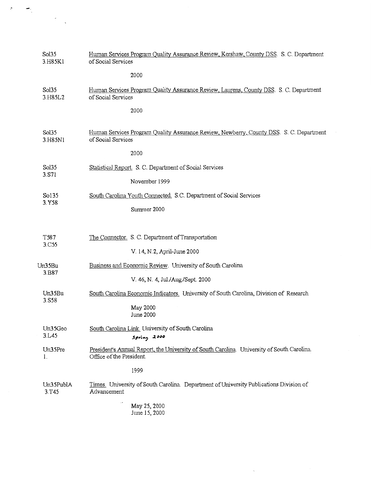| Sol35<br>3.H85K1   | Human Services Program Quality Assurance Review, Kershaw, County DSS. S. C. Department<br>of Social Services           |  |  |  |
|--------------------|------------------------------------------------------------------------------------------------------------------------|--|--|--|
|                    | 2000                                                                                                                   |  |  |  |
| Sol35<br>3.H85L2   | Human Services Program Quality Assurance Review, Laurens, County DSS. S. C. Department<br>of Social Services           |  |  |  |
|                    | 2000                                                                                                                   |  |  |  |
| Sol35<br>3.H85N1   | Human Services Program Quality Assurance Review, Newberry, County DSS. S. C. Department<br>of Social Services          |  |  |  |
|                    | 2000                                                                                                                   |  |  |  |
| Sol35              | Statistical Report. S. C. Department of Social Services                                                                |  |  |  |
| 3.S71              | November 1999                                                                                                          |  |  |  |
| So135              | South Carolina Youth Connected, S.C. Department of Social Services                                                     |  |  |  |
| 3.Y58              | Summer 2000                                                                                                            |  |  |  |
|                    |                                                                                                                        |  |  |  |
| T587               | The Connector. S. C. Department of Transportation                                                                      |  |  |  |
| 3.C55              | V. 14, N.2, April-June 2000                                                                                            |  |  |  |
| Un35Bu             | Business and Economic Review. University of South Carolina                                                             |  |  |  |
| 3.B87              | V. 46, N. 4, Jul./Aug./Sept. 2000                                                                                      |  |  |  |
| Un35Bu             | South Carolina Economic Indicators. University of South Carolina, Division of Research                                 |  |  |  |
| 3.S58              | May 2000<br>June 2000                                                                                                  |  |  |  |
| Un35Geo<br>3.L45   | South Carolina Link. University of South Carolina<br>Spring 2000                                                       |  |  |  |
| Un35Pre<br>I.      | President's Annual Report, the University of South Carolina. University of South Carolina.<br>Office of the President. |  |  |  |
|                    | 1999                                                                                                                   |  |  |  |
| Un35PublA<br>3.T45 | Times. University of South Carolina. Department of University Publications Division of<br>Advancement                  |  |  |  |
|                    | May 25, 2000<br>June 15, 2000                                                                                          |  |  |  |

 $\bar{\mathbf{v}}$ 

 $\mathcal{F}_{\text{max}}$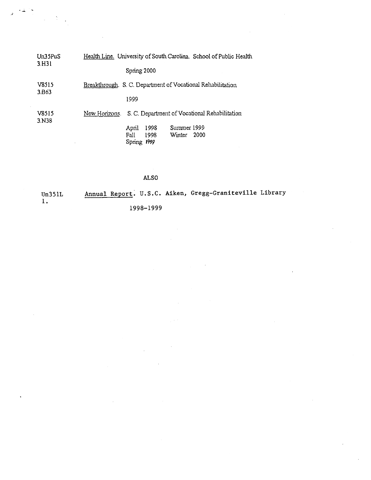| Un35PuS<br>3.H31            | Health Line. University of South Carolina. School of Public Health |
|-----------------------------|--------------------------------------------------------------------|
|                             | Spring 2000                                                        |
| V8515<br>3.B <sub>6</sub> 3 | Breakthrough. S. C. Department of Vocational Rehabilitation        |
|                             | 1999                                                               |
| V8515<br>3.N38              | S. C. Department of Vocational Rehabilitation<br>New Honzons.      |
|                             | Summer 1999<br>1998<br>April                                       |
|                             | 2000<br>Fall<br>1998<br>Winter<br>Spring 1999                      |

 $\langle\cdot\,\downarrow\,\cdot\,\rangle$ 

 $\omega \in \Sigma_{\rm{out}}$ 

 $\mathbf{r}$ 

## ALSO

Un351L 1. Annual Report. U.S.C. Aiken, Gregg-Graniteville Library 1998-1999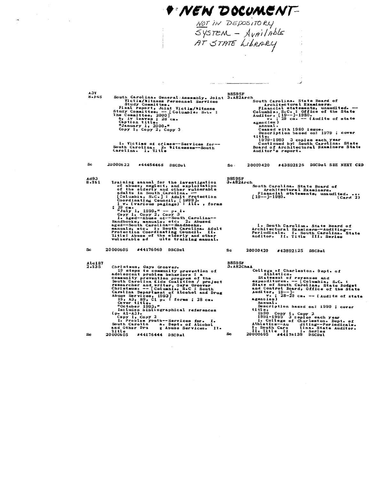**+ NEW DOCUMENT-**

a da comuni

 $\sim$ 

NOT IN DEPOSITORY  $Sysrem - Available$ AT STATE LIBRARY

South Carolina. General Assembly. Joint 3.482Arch<br>
Yictim/Witness Personnel Services<br>
Study Committee.<br>
Final report, Joint Victim/Witness<br>
Study Committee.<br>
Study Committee.<br>
Study Committee.<br>
The Committee, 2000<br>
6, ivie  $A3V$ <br>8.545 h<br>
South Carolina. State Board of<br>
Architectural Examiners, unaudited.<br>
Columbia, S.C.: Office of the State<br>
Auditor, [19--]-1980.<br>
Annual.<br>
V.: 22 Cm. -- (Audits of state<br>
exercise)<br>
Annual.<br>
Ceased with 1980 issue.<br>
Desc 1. Victims of crimes--Services for-<br>South Carolina. 2. Witnesses--South<br>Carolina. I. Title 20000622 #44454468 DSCDsl Sc 20000420 #43892125 DSCDsl SEE NEXT CRD  $Sc<sub>1</sub>$ Iraining sanual for the investigation<br>of abuse, neglect, and exploitation<br>of the elderly and other vulnerable<br>adults in South Carolina ---<br>[Columbia, S.C.]: Adult Protection<br>Coordinating Council, [1999].<br> $\cdot$  for various **B8595F**  $A^{d93}_{8.161}$  $3.482$ Arch n<br>South Carolina, State Board of<br>Financial statements, unaudited.<br>Financial statements, unaudited.<br>[19--]-1980. (Card 2) I. South Carolina. State Board of<br>Architectural Examiners--Auditing--<br>Periodicals. I. South Carolina. State<br>Auditor. II. Title III. Series **Sc** 20000605 #44176069 DSCDsl 20000420 #43892125 DSCDsl Sc **B8595F<br>3.A82ChaA** Christmus, Gays Groover.<br>
10 steps to community prevention of<br>
adolescent problem behaviors : a<br>
community prevention program of the<br>
South Carolina Kids Coalition / project<br>
researcher and writer, Gaye Groover<br>
Christmus. Alc187<br>2.135 had<br>
College of Charleston. Dept. of<br>
statement of revenues and<br>
expenditures. -- [Columbia, S.C. :<br>
State of South Carolina, State Budget<br>
and Control Board, Office of the State<br>
Auditor,  $19-1$ <br>  $y \cdot$ ;  $28-29$  ca. -- (Au 20000605 #44176444 DSCDsl Sc. Se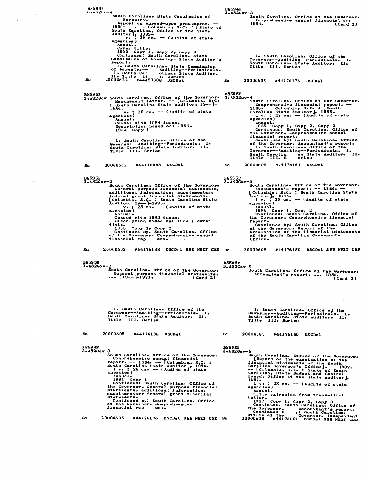**B8595F B8594F**  $3.482$ Fo-4 3.A82Gov-3 .<br>South Carolina. State Commission of<br>- Forestry. Jouth Carolina. Office of the Governor.<br>Comprehensive annual financial...<br>1984. (Card 2) rorestry.<br>Report on agreed-upon procedures. --<br>1999- . -- Columbia, S.C. : [State of<br>South Carolina, Office of the State<br>Auditor], 1999-<br>agencies)<br>agencies) agencies)<br>
Annual.<br>
Cover title.<br>
1999 Copy 1, Copy 2, Copy 3<br>
Continues: South Carolina. State Auditor's<br>
Commission of Forestry. State Auditor's<br>
report.<br>
Il. South Carolina. State Commission<br>
of Forestry----------------1. South Carolina. Office of the<br>Governor--Auditing--Periodicals. I<br>South Carolina. State Auditor. II.<br>Title III. Series I. Sc 20000622 20000605 #44176176 DSCDsl Sc. B8595F<br>3.A82Gov South Carolina. Office of the Governor.<br>1. Management letter. -- [Columbia, S.C.<br>1. South Carolina State Auditor, 19-1. **B8595F** 3. A82Gov <sup>-4</sup><br>
South Carolina. Office of the Governor.<br>
Comprehensive financial report. --<br>
1985. -- Columbia, S.C. : [South<br>
Carolina State Auditor], 1985.<br>
1 v.; 23 cm. -- (Audits of state<br>
agencies) 1984.<br> $v_e$ ; 28 cm. -- (Audits of state<br>agencies) emicates,<br>Caased with 1984 issue.<br>Description based on: 1984.<br>1984 Copy 1 Annual.<br>
1985 Copy 1, Copy 2, Copy 3<br>
Continues: South Carolina. Office of<br>
the Governor. Comprehensive annual<br>
tinancial report.<br>
Continued by: South Carolina. Office<br>
of the Governor. Accountant's report.<br>
1. South Carol 1. South Carolina. Office of the<br>Governor--Auditing--Periodicals. I<br>South Carolina. State Auditor. II.<br>Title III. Series ī. 20000605 #44176048 DSCDsl 20000605 #44176161 DSCDsl **Sc** Sc B8595F<br>3.A82Gov-2 B8595F<br>3-A82Gov-5 -2<br>
South Carolina. Office of the Governor.<br>
General purpose financial statements,<br>
additional information, supplements.<br>
federal grant financial statements.<br>
[Columbia, S.C. : South Carolina State<br>
Auditor, 19---1983.<br>
v. -S<br>
South Carolina. Office of the Governor.<br>
Accountant's report. -- 1986. --<br>
[Columbia, S.C. : South Carolina State<br>
Auditor], 1986. -- (Audits of state<br>
agencies)<br>
agencies. agencies'<br>
Annual.<br>
1986 Copy 1, Copy 2<br>
Continues: South Carolina. Office of<br>
the Governor. Comprehensive financial<br>
report.<br>
Continued by: South Carolina. Office emius)<br>Ceased with 1983 Issue.<br>Discription based on: 1983 ; cover Discription based on the continued by:<br>1983 Copy 1, Copy 2<br>Continued by: South Carolina. Office<br>of the Governor. Comprehensive annual<br>financial rep ort. contracted by the covernor. Report of the covernor.<br>examination of the financial statements of the South Carolina Governor's<br>Office. Se 20000605 #44176188 DSCDsl SEE NEXT CRD Sc 20000605 #44176150 DSCDsl SEE NEXT CRD BS595F<br>3.A82Gov-2<br>5outh Carolina. Office of the Governor.<br>6eneral purpose financial statements,<br>0.00 (Card 2) **B8595F**  $3.182$ Gov-5  $\overline{\text{Card}}$  2) 1. South Carolina. Office of the<br>Governor--Auditing--Periodicals. I<br>South Carolina. State Auditor. II.<br>Title III. Series 1. South Carolina. Office of the<br>Governor--Auditing--Periodicals. I<br>South Carolina. State Auditor. II.<br>Title III. Series т. I. 20000605 #44176188 DSCDsl  $S_{\mathbb{C}}$ Sc. 20000605 #44176150 DSCDsl **B8594F B8595F** 3-A82Gov-3  $3.482$ Gov-6 South Carolina. Office of the Governor.<br>
Comprehensive annual financial<br>
comprehensive annual financial<br>
south Carolina State Auditor], 1984.<br>
1 v.; 28 cm. - (Audits of state<br>
agencies)<br>
Annual.<br>
Annual.<br>
Continues: South 6<br>
South Carolina. Office of the Governor.<br>
[Report on the examination of the<br>
financial statements of the South<br>
Carolina Governor's Office]. --1987.<br>
--[Columbia, S.C. - State of South<br>
Carolina, State Budget and Control I v.; 28 cm. -- (Audits of state<br>agencies)<br>fille extracted from transmittal<br>intite extracted from transmittal<br>letter.<br>1987 Copy 1, Copy 2, Copy 2<br>continues: South Carolina.<br>Continues: South Carolina.<br>Continued b y: South C  $28$  cm.  $-$  (Audits of state continues: South Carolina. Office of<br>the Governor. General purpose financial<br>statements, additional information,<br>supplementary federal grant financial<br>continued by: South Carolina. Office<br>of the Governor. Comprehensive<br>fin 20000605 #44176176 DSCDsl SEE NEXT CRD Sc Sc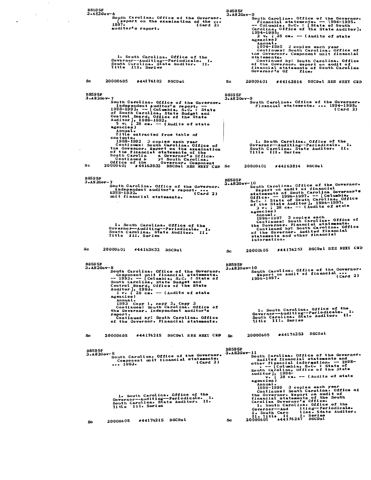| <b>B8595F</b><br>$3.482$ Gov-6     | 1937.<br>auditor's report.                |                  | South Carolina. Office of the Governor.<br>[keport on the examination of the                                                                                                                                                                                                                    | (Card 2) | B 859 5F<br>3.A82Gov-9           | 1994-1995.<br>agencies)<br>Annual.                        | South Carolina. Office of the Governor.<br>Financial statements. $-$ 1994-1995.<br>-- Columbia, S.C. : [State of South Carolina, Office of the State Auditor],<br>2 v. ; 28 cm. --- (Audits of state<br>1994–1995                                                                                                                     | 3 copies each year                                       |                               |
|------------------------------------|-------------------------------------------|------------------|-------------------------------------------------------------------------------------------------------------------------------------------------------------------------------------------------------------------------------------------------------------------------------------------------|----------|----------------------------------|-----------------------------------------------------------|---------------------------------------------------------------------------------------------------------------------------------------------------------------------------------------------------------------------------------------------------------------------------------------------------------------------------------------|----------------------------------------------------------|-------------------------------|
|                                    | Title III. Series                         |                  | i. South Carolina. Office of the<br>Governor--Auditing--Periodicals. I.<br>South Carolina. State Auditor. II.                                                                                                                                                                                   |          |                                  | statements.<br>Governor's Of                              | Continues: South Carolina. Office of<br>the Governor. Component unit financial<br>Continued by: South Carolina. Office<br>of the Governor. Report on audit of<br>financial statements of South Carolina                                                                                                                               | fice.                                                    |                               |
| Sc                                 | 20000605                                  | #44176102 DSCDsl |                                                                                                                                                                                                                                                                                                 |          | Sc                               | 20000601                                                  | #44163814 DSCDsl SEE NEXT CRD                                                                                                                                                                                                                                                                                                         |                                                          |                               |
| <b>B8595F</b><br>$3.182$ Cov-7     | agencies)<br>Annual.                      |                  | South Carolina. Office of the Governor.<br>Independent auditor's report. --<br>1988-1992. -- [Columbia, S.C. : State<br>of South Carolina, State Budget and<br>Control Board, Office of the State<br>Auditor], 1988-1992.<br>5 v. ; 28 cm. -- (Audits of state<br>Title extracted from table of |          | B859 5F<br>$3.182$ Gov-9         |                                                           | South Carolina. Office of the Governor.<br>Flnancial statements.  1994-1995.                                                                                                                                                                                                                                                          |                                                          | (Card 2)                      |
|                                    | contents.<br>South Carolin<br>Continued b |                  | 1988-1992 3 copies each year<br>Continues: South Carolina. Office of<br>the Governor. Report on the examination<br>of the financial statements of the<br>a Governor's Office.<br>y: South Carolina.                                                                                             |          |                                  |                                                           | 1. South Carolina. Office of the<br>Governor--Auditing--Periodicals. I.<br>South Carolina. State Auditor. II.<br>Title III. Series                                                                                                                                                                                                    |                                                          |                               |
| Sc                                 | Office of the<br>20000601                 |                  | Governor. Component<br>#44163832 DSCDsl SEE NEXT CRD Sc                                                                                                                                                                                                                                         |          |                                  | 20000601                                                  | #44163814 DSCDsl                                                                                                                                                                                                                                                                                                                      |                                                          |                               |
| <b>B8595F</b><br>$3 - A82$ Gov - 7 | 1988–1932.<br>unit financial statements.  |                  | South Carolina. Office of the Governor.<br>Independent auditor's report.                                                                                                                                                                                                                        | (Card 2) | <b>B8595F</b><br>$3.482$ Gov-10  | agencies)<br>Annual.<br>1996–1997                         | South Carolina. Office of the Governor.<br>Report on audit of financial<br>statements of South Carolina Governor's<br>Office. -- 1996-1997. -- [Columbia,<br>S.C. : State of South Carolina, Office<br>of the State Auditor ), 1996-1997.<br>$2 v \cdot$ ; $28 cm \cdot - -$ (Audits of state<br>Continues: South Carolina. Office of | 3 copies each                                            |                               |
|                                    | Title III. Series                         |                  | 1. South Carolina. Office of the<br>Governor-Auditing--Periodicals. I.<br>South Carolina. State Auditor. II.                                                                                                                                                                                    |          |                                  | information.                                              | the Governor. Financial statements.<br>Continued by: South Carolina. Office<br>of the Governor. Audited financial<br>statements and other financial                                                                                                                                                                                   |                                                          |                               |
| Sc                                 | 20000601                                  | #44163832 DSCDsl |                                                                                                                                                                                                                                                                                                 |          | Sc.                              | 20000605                                                  |                                                                                                                                                                                                                                                                                                                                       |                                                          | #44176253 DSCDsl SEE NEXT CRD |
| <b>B8595F</b><br>$3 - 82$ Gov-8    | agencies)                                 |                  | South Carolina. Office of the Governor.<br>Component unit financial statements.<br>$-- 1993. -- [Coluabia, S.C. : State of$<br>South Carolina, State Budget and<br>Control Board, Office of the State<br>Auditor], 1993.<br>1 v. ; 28 cm. -- (Audits of state                                   |          | <b>B8595F</b><br>$3 - 82$ Gov-10 | 1996-1997.                                                | South Carolina. Office of the Governor.<br>Report on audit of financial                                                                                                                                                                                                                                                               |                                                          | (card 2)                      |
|                                    | Annual.<br>report.                        |                  | 1993 Copy 1, copy 2, Copy 3<br>Continues: South Carolina. Office of<br>the Governor. Independent auditor's<br>Continued by: South Carolina. Office<br>of the Governor. Financial statements.                                                                                                    |          |                                  |                                                           | 1. South Carolina. Office of the<br>Governor--Auditing--Periodicals. I.<br>South Carolina. State Auditor. II.<br>Title III. Series                                                                                                                                                                                                    |                                                          |                               |
| Sc.                                | 20000605                                  |                  | #44176215 DSCDsl SEE NEXT CRD                                                                                                                                                                                                                                                                   |          | Sc.                              | 20000605                                                  | #44176253 DSCDsl                                                                                                                                                                                                                                                                                                                      |                                                          |                               |
| <b>B8595F</b><br>$3 - A82Gov - 8$  | 1993                                      |                  | South Carolina. Office of the Governor.<br>Component unit financial statements.                                                                                                                                                                                                                 | (Card 2) | <b>B8595F</b><br>$3.182$ Gov-11  | agencies)                                                 | South Carolina. Office of the Governor.<br>Audited financial statements and<br>other financial information. - 1998-<br>. -- [Columbia, S.C. : State of<br>South Carolina, Office of the State<br>Auditor], $1998$ -<br>v. 28 cm. -- (Audits of state                                                                                  |                                                          |                               |
|                                    | Title III. Series                         |                  | 1. South Carolina. Office of the<br>Governor--Auditing--Periodicals. I.<br>South Carolina. State Auditor. II.                                                                                                                                                                                   |          |                                  | Annual.<br>Governor--Aud<br>I. South Caro<br>II. Iitle II | 1998-1999 3 copies each year<br>Continues: South Carolina. Office of<br>the Governor. Report on audit of<br>financial statements of the South<br>Carolina Governor's Office.<br>1. South Carolina. Office of the                                                                                                                      | iting--Periodicals.<br>lina. State Auditor.<br>l. Series |                               |
| Sc                                 | 20000605                                  | #44176215 DSCDsl |                                                                                                                                                                                                                                                                                                 |          | Sc                               | 20000605                                                  | $*44176247$ DSCDsl                                                                                                                                                                                                                                                                                                                    |                                                          |                               |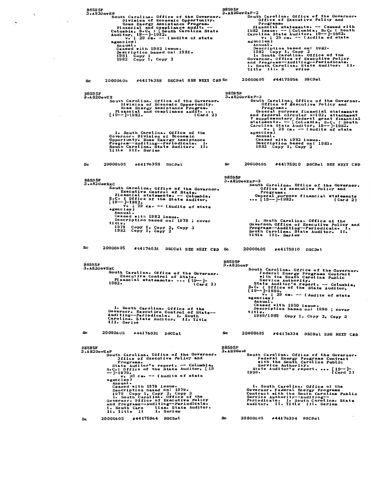88595F BS595F<br>
3.A82GovExP-2<br>
South Carolina. Office of the Governor-<br>
Differe a Executive Policy and<br>
Programs.<br>
Financial statements. -- Consolary<br>
1982<br>
1982 Issue. -- [Columbia, Sa C. 19--]-1982.<br>
v.; 29 cm. -- (Audits of sta EH<br>
South Carolina. Office of the Governor-<br>
Division of Economic Opportunity.<br>
Home Energy Assistance Program.<br>
Financial and Compliance audit.<br>
--<br>
Columbia, S.C.: South Carolina State<br>
Auditor, 19-1982.<br>
v.: 29 cm. -- (  $0.832GovEH$ agencies)<br>
Annual.<br>
Description based on: 1982.<br>
1982 Copy 1, Copy 2<br>
1. South Carolina. Office of the<br>
Governor. Office of Executive Policy<br>
and Programs—Auditing—Periodicals.<br>
I. South Carolina. State Auditor. I.<br>
Title īı. 20000605 #44175956 DSCDsl 20000605 #44176358 DSCDs1 SEE NEXT CRD Sc Sc **B8595F**<br>3.A82GovEH B8595F<br>3.A82GovExP-3 ExP-3<br>
South Carolina. Office of the Governor.<br>
Office of Executive Policy and<br>
Programs.<br>
General purpose financial statements<br>
and federal circular  $\Lambda-102$ , attachment<br>
Pupplementary federal grant financial<br>
statements EH<br>
South Carolina: Office of the Governor:<br>
Division of Economic Opportunity.<br>
Home Energy Assistance Program.<br>
Flancial and compliance audit....<br>
[19--]-1982. (Card 2) 1. South Carolina. Office of the<br>Governor. Division of Economic<br>Opportunty. Mome Energy Assistance<br>Program--Auditing--Periodicals. I.<br>South Carolina. State Auditor. II.<br>Title III. Series 20000605 #44176358 DSCDsl 20000605 #44175910 DSCDsl SEE NEXT CRD **Sc** Sc. **B8595F B8595F** 3.A82GovExP-3 3.A82GovExC South Carolina. Office of the Governor.<br>
Executive Control of State.<br>
Financial statements. -- Columbia,<br>
S.C.: Office of the State Auditor,<br>
[19--]-1982.<br>
agencies)<br>
agencies)<br>
agencies. geneiss<br>Annual.<br>Desced with 1982 issue.<br>Description based on: 1979 ; cover. 1. South Carolina. Office of the<br>Governon Office of Executive Policy and<br>Programs--Auditing--Periodicals. I.<br>South Carolina. State Auditor. II.<br>Title III. Series title.<br>1979 Copy 1, Copy 2, Copy 3<br>1982 Copy 1, Copy 2 20000605 #44176031 DSCCsl SEE NEXT CRD Sc Sc. 20000605 #44175910 DSCDsl **B8595F<br>3.A82GovF B8595F** F<br>
South Carolina. Office of the Governor-<br>
Federal Energy Programs Contract<br>
with the South Carolina Public<br>
Service Authoris<br>
State Auditor's report. --- Columbia,<br>
SaC: 0 of the State Auditor,<br>  $[19--1-1990$ .<br>
V. ; 29 c  $3.182G$ ov $R$ x $C$ SxC<br>
South Carolina. Office of the Governor.<br>
Executive Control of State.<br>
Financial statements.... [19--]-<br>
1982. (Card 2) 1. South Carolina. Office of the<br>Governor. Executive Control of State--<br>Auditing--Periodicals. I. South<br>Carolina. State Auditor. II. Title<br>III. Series 1985/1988 Copy 1, Copy 2, Copy 3 20000605 #44176031 DSCCBl **Sc** 20000605 #44176334 DSCDsl SEE NEXT CED Sc **B8595F<br>3.A82GovF B8595F** Expression of the Governors<br>
South Carolina. Office of the Governors<br>
Programs.<br>
State Auditor's report. -- Columbia,<br>
State Auditor's report.<br>  $-1.1979$ ,<br>  $-9-1979$ ,<br>  $-9-1979$ ,<br>  $-9-1979$ ,<br>  $-9-1979$ ,<br>  $-9-1979$ ,<br>  $-29$  $3.182GovExP$ South Carolina. Office of the Governor.<br>
Federal Energy Programs Contract<br>
service Authority.<br>
Service Authority.<br>
State Auditor's report.... (19-1-1990.<br>
1990.<br>
Card 2) 1. South Carolina. Office of the<br>Governor. Federal Energy Programs<br>Contract with the South Carolina Public<br>Service Authority--Auditing--<br>Periodicals. I. South Carolina. State<br>Auditor. II. Title III. Series 20000605 #44176334 DSCDsl 20000605 #44175964 DSCDsl **Sc** Sc.

**B8595F**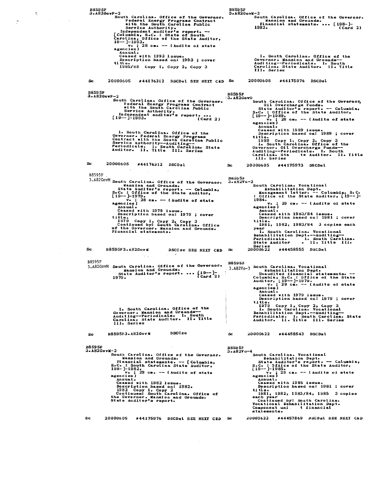B8595F<br>3.A82GovF-2 B8595F  $3.182GovY-2$ F-2<br>
South Carolina. Office of the Governor.<br>
Federal Energy Programs Contract<br>
with the South Carolina Public<br>
Service Authority.<br>
Independent auditor's report.<br>
Independent auditor's report.<br>
Columbia, ScC: State of Sou  $(\text{Card } 2)$ gmesas,<br>Ceased with 1993 issue.<br>Description based on: 1993 ; cover<br>\*\*\* 1. South Carolina. Office of the<br>Governor: Mansion and Grounds--<br>Auditing--Periodicals. I. South<br>Carolina. State Auditor. II. Title ti tl tte.<br>1985/88 Copy 1, Copy 2, Copy 3 <u>הוזד</u> III. Series 20000605 #44175976 DSCDsl 20000605 #44176312 DSCDsl SEE NEXT CED Sc Sc. **B8595F** B8595F<br>3. A82Gov0  $3.826$ ovF-2 e-2<br>
South Carolina. Office of the Governor.<br>
Federal Energy Programs Contract<br>
with the South Carolina Public<br>
Service Authority.<br>
Independent auditor's report....<br>
[19--]-1993. (Card 2) South Carolina. Office of the Governor,<br>
Site Auditor's report.<br>
State Auditor's report. -- Columbia,<br>
S.C.: Office of the State Auditor,<br>
[19--]-1989.<br>
ve ; 28 cm. -- (Audits of state<br>
agencies)<br>
Annual. encies,<br>Annual.<br>Ceased with 1989 issue.<br>Description based on: 1989 ; cover. 1. South Carolina. Office of the<br>Governor. Federal Energy Programs<br>Contract with the South Carolina Public<br>Service Authority--Auditing--<br>Periodicals. I. South Carolina. State<br>Auditor. II. Title III. Series Description Description Control in South Caption 14.<br>
1989 Copy 1, Copy 2, Copy 3<br>
1989 Copy 1, Copy 2, Copy 3<br>
60 overnor. Oll Overcharge Funds--<br>
Auditing--Periodicals. I. South<br>
Carolina. State Auditor. II.<br>
111. Series II. Title  $\mathbf{S}$ c 20000605 #44176312 DSCDsl 20000605 #44175973 DSCDsl Sc B8595F Booyor<br>3.A82GovM South Carolina. Office of the Governor.<br>4 Mansion and Grounds.<br>5tate Auditor's report. -- Columbia,<br>5.cC. : Office of the State Auditor,<br>19---1979.<br>78 cm. -- (Audits of state B8595F<br>3.A82Vo-2 2<br>
South Carolina. Vocational<br>
Rehabilitation Dept.<br>
Management letter. -- Columbia, S.C.<br>
: Office of the State Auditor, [19--]- $V*$ ; 28 cm. -- (Audits of state agencies) 1984.<br> **1984.**<br> **v.** ; 29 cm. -- (Audits of state<br>
agencies) Superior<br>Ceased with 1979 issue.<br>Description based on: 1979 ; cover Annual. cannum...<br>Ceased with 1983/84 issue.<br>Description based on: 1981 ; cover title.<br>
1979 Copy 1, Copy 2, Copy 3<br>
Continued by: South Carolina. Office<br>
of the Governor. Mansion and Grounds.<br>
Financial statements. title Description --<br>title.<br>1981, 1982, 1983/84 3 copies each Series<br>20000622 #44458555 DSCDsl **Sc** B8595F3.A82GovM DSCCzc SEE NEXT CRD Sc B8595F<br>
3.A82CovM South Carolina. Office of the Governor.<br>
Mansion and Grounds.<br>
State Auditor's report. ...  $\begin{bmatrix} 19 & -1 \\ 2 & 19 & 19 \end{bmatrix}$ .<br>
1979.<br>
1979.<br>
29 Ca. - (Audit of the State agencies)<br>
29 Ca. - (Audit of the S Description Department of the control of the South Carolina Relational Land Rehabilitation Dept. --Auditing-<br>Rehabilitation Dept. --Auditing-<br>Rehabilitation Dept. --Auditing-<br>Auditor. II. South Carolina. State<br>Auditor. II. 1. South Carolina. Office of the<br>Governor. Mansion and Grounds--<br>Auditing--Periodicals. I. South<br>Carolina. State Auditor. II. Title<br>III. Series **DSCCzc** B8595F3.A82GovM 20000622 #44458543 DSCDsl Sc Sc. **B8595F B8595F**  $3.82GovM-2$ <sup>1</sup><br>
South Carolina. Vocational<br>
Rehabilitation Dept. -- Columbia,<br>
State Auditor's report. -- Columbia,<br>
S.C.: Office of the State Auditor,<br>
[19--]-1985.<br>
agencies]<br>
agencies]<br>
29 cm. -- (Audits of state<br>
agencies)  $3 - A82V - 4$ -2<br>
South Carolina. Office of the Governor.<br>
Mansion and Grounds.<br>
Financial statements. --- [Columbia,<br>
S.C. : South Carolina State Auditor,<br>
198-]-1982.<br>
v. : 29 cm. -- (Audits of state ...<br>Agencies) agencies)<br>
Annual.<br>
Ceased with 1982 issue.<br>
Description based on: 1982.<br>
1982 Copy 1, Copy 2<br>
Continues: South Carolina. Office of<br>
the Governor. Mansion and Grounds.<br>
State Auditor's report. **Encies,<br>Annual.<br>Description based on: 1981 ; cover<br>Description based on: 1981 ; cover** title.<br>
1981, 1982, 1983/84, 1985 3 copies<br>
each year<br>
Continued by: South Carolina.<br>
Vocational Rehabilitation Dept.<br>
Component uni tinancial<br>
statements.<br>
tinancial title. Sc 20000605 #44175976 DSCDsl SEE NEXT CRD Sc 20000622 #44457869 DSCDsl SEE NEXT CRD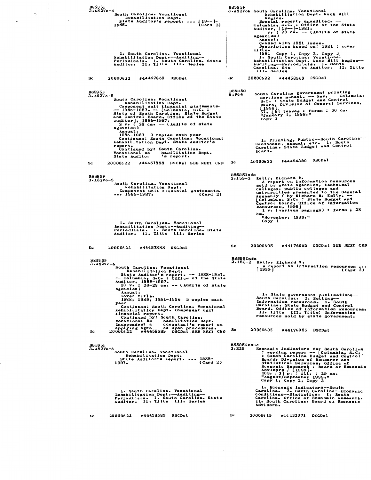88595F<br>3.A82Vo-4 **B8595F** BS595F<br>
3.A82Vok South Carolina. Vocational<br>
Englon.<br>
Region.<br>
Region.<br>
Region.<br>
The Special report, unaudited. --<br>
Columbia, S.C. : Office of the State<br>
Auditor [19--]-1981.<br>
v. ; 29 cm. -- (Audits of state<br>
agencies) agencies)<br>
Annual.<br>
Ceased with 1981 issue.<br>
Ceased with 1981 issue.<br>
1981 Copy 1, Copy 2, Copy 3<br>
1111e.<br>
1981 Copy 1, Copy 2, Cordinal.<br>
Anabilitation Dept. Kock Hill kegion---<br>
Additing--Periodicals. I. South<br>
Auditing-1. South Carolina. Vocational<br>Rehabilitation Dept.--Auditing--<br>Periodicals. 1. South Carolina. State<br>Auditor. Il. Title Ill. Series 20000622 #44458569 DSCDsl 20000622 #44457869 DSCDsl  $s<sub>c</sub>$ Sc. South Carolina government printing<br>
services manual. --- Rev. -- Columbia,<br>
S.C. : State Budget and Control<br>
Board, Division of General Services,<br>
[1998]<br>
57, [5] leaves : forms ; 30 cm.<br>
"January 1, 1998."<br>
Copy 1 B8595G<br>8.P64 B8595F<br>3.A82Vo-5 South Carolina. Vocational<br>
Rehabilitation Dept.<br>
Component unit financial giatements.<br>
--1985-1987. -- [Columbia, S.C. :<br>
--1986-1987. -- [Columbia, State Budget<br>
and Control Board, Office of the State<br>
Auditor], 286-198 agencies)<br>
Annual.<br>
1986-1987 3 copies each year<br>
Continues: South Carolina. Vocational<br>
Rehabilitation Dept. State Auditor's 1. Printing, Public--South Carolina--<br>Handbooks, manual, etc. 1. South<br>Carolina. State Budget and Control<br>Board. report.<br>
Continued by: South Carolina.<br>
Vocational Report.<br>
Vocational Report.<br>
State Auditor 's report. 20000622 #44454390 DSCDsl 20000622 #44457888 DSCDsl SEE NEXI CkD Sc  $\mathbf{S}$ c B8595Info<br>
2.153-2 Kelly, Richard W.<br>
Areport on information resources<br>
sold by state agencies, technical<br>
colleges, public colleges and<br>
universities presented to the General<br>
Assembly / by Richard W. Kelly.<br>
(Columbia, S **B8595F**  $3.8280 - 5$ South Carolina. Vocational<br>
Rehabilitation Dept.<br>
Component unit financial statements.<br>
... 1986-1987. (Card 2) cm.<br>"November, 1999."<br>Copy 1 1. South Carolina. Vocational<br>Eshabilitation Dept.--Auditing--<br>Periodicala. I. South Carolina. State<br>Auditor. Il. Title III. Series 20000605 #44176085 DSCDsl SEE NEXT CRD Sc. 20000622 #44457888 DSCDsl Sc. B8595Info<br>2.153-2 Kelly, Richard W.<br>A report on information resources ...<br>[1999] (Card 2) B8595F NS585F<br>
.482Vo-6<br>
South Carolina. Vocational<br>
State Auditor's report. -- 1988-1997.<br>
-- Columbia, S.C.: Office of the State<br>
Auditor, 1988-1997.<br>
400 : 28-29 cm. -- (Audits of state<br>
28-29 cm. -- (Audits of state<br>
28-29 cm ter....<br>Cover title.<br>1988, 1989, 1991-1996 3 copies each 1. State government publications--<br>South Carolina. 2. Selling--<br>Information resources. I. South<br>Carolina. State Budget and Control<br>Board. Office of Information Resources.<br>I. Title III. Title: Information<br>resources sold by year<br>
Continues: South Carolina, Vocational<br>
chapilitation Dept. Component unit<br>
inancial report.<br>
Continued by: South Carolina.<br>
Vocational Re habilitation Dept.<br>
Independent a cocuntant's report on<br>
applying agre ed-upon year 20000605 #44176085 DSCDsl **Sc** B8595ResEc **B8595F** Economic indicators for South Carolina<br>
: working paper. -- [Columbia, S.C.]<br>
: South Carolina Budget and Control<br>
Board, Division of Research and<br>
Statistical Services, Office of<br>
Economic Research and<br>
House / [1989].<br>
1 B8595F<br>3.A82Vo-6<br>Behabilitation Dept.<br>State Auditor's report. ... 1988-1988.<br>Card 2)  $2.825$ 1. Economic indicators--South<br>Carolina. 2. South Carolina---Economic<br>conditions--Statistics. I. South<br>Carolina. Office of Economic Research.<br>11. South Carolina. Board of Economic<br>11. South Carolina. Board of Economic 1. South Carolina. Vocational<br>Rehabilitation Dept.--Auditing--<br>Periodicale. I. South Carolina. State<br>Auditor. II. Title III. Series II. Sout  $S_{\mathcal{C}}$ 20000622 #44458589 DSCDsl Sc 20000619 #44432071 DSCDal

 $\overline{\phantom{a}}$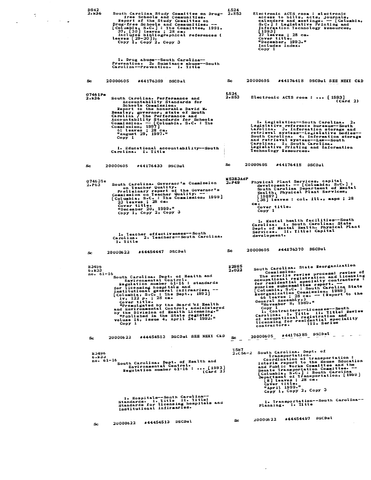| D842<br>2.x36 | South Carolina Study Committee on Drug- 2.E53                                                                                                                                                                                                                                                                                                                                                                                                                                                                                                  | L524<br>Electronic ACTS room : electronic                                                                                                                                                                                                                                                                                                                                                                                                                                                                                                                                                 |
|---------------|------------------------------------------------------------------------------------------------------------------------------------------------------------------------------------------------------------------------------------------------------------------------------------------------------------------------------------------------------------------------------------------------------------------------------------------------------------------------------------------------------------------------------------------------|-------------------------------------------------------------------------------------------------------------------------------------------------------------------------------------------------------------------------------------------------------------------------------------------------------------------------------------------------------------------------------------------------------------------------------------------------------------------------------------------------------------------------------------------------------------------------------------------|
| ÷.            | free Schools and Communities.<br>Report of the Study Committee on<br>Drug-free Schools and Communities. --<br>[Columbia, S.C.]: The Committee, 1991.<br>$37, [30]$ leaves; 28 cm.<br>Includes bibliographical references (<br>Leaves $[29-30]$ ).<br>Copy 1, Copy 2, Copy 3                                                                                                                                                                                                                                                                    | access to bills, acts, journals,<br>calenders and meetings. -- [Columbia,<br>S.C. S. Legislative Printing and<br>Information Technology Resources,<br>[1993]<br>27 leaves ; 28 cm.<br>Cover title.<br>"December, 1993."<br>Includes index.<br>Copy 1                                                                                                                                                                                                                                                                                                                                      |
|               | 1. Drug abuse--South Carolina--<br>Prevention. 2. Substance abuse-South<br>Carolina--Prevention. I. Title                                                                                                                                                                                                                                                                                                                                                                                                                                      |                                                                                                                                                                                                                                                                                                                                                                                                                                                                                                                                                                                           |
| Sc.           | 20000605<br>#44176389 DSCDsl                                                                                                                                                                                                                                                                                                                                                                                                                                                                                                                   | 20000605<br>Sc.<br>#44176418 DSCDal SEE NEXI CED                                                                                                                                                                                                                                                                                                                                                                                                                                                                                                                                          |
| 2.E36         | G7461Pe<br>South Carolina. Performance and<br>Accountability Standards for<br>Schools Commission.<br>Report to the honorable David M.<br>Beasley, governor, state of South<br>Carolina / The Performance and<br>Accountability Standards for Schools                                                                                                                                                                                                                                                                                           | L524<br>2.B53<br>Electronic ACTS room :  [1993]<br>(Card 2)                                                                                                                                                                                                                                                                                                                                                                                                                                                                                                                               |
|               | Commission. - [Columbia, S.C. : The<br>Commission, 1997]<br>61 leaves ; 28 cm.<br>"August 29, 1997."<br>Copy 1<br>1. Educational accountability--South                                                                                                                                                                                                                                                                                                                                                                                         | 1. Legislation--South Carolina. 2.<br>Legislative reference bureaus--South<br>Carolina. 3. Information storage and<br>retrieval systems--Legislative bodies--<br>South Carolina. 4. Information storage<br>and retrieval systems--Law--South<br>Carolina. I. South Carolina.<br>Legislative Printing and Information                                                                                                                                                                                                                                                                      |
|               | Carolina. I. Title                                                                                                                                                                                                                                                                                                                                                                                                                                                                                                                             | Technology Resources.                                                                                                                                                                                                                                                                                                                                                                                                                                                                                                                                                                     |
| Sc.           | 20000605<br>#44176433 DSCDsl                                                                                                                                                                                                                                                                                                                                                                                                                                                                                                                   | Sc.<br>20000605<br>#44176418 DSCDsl                                                                                                                                                                                                                                                                                                                                                                                                                                                                                                                                                       |
| 2. P63        | G7463Ie<br>South Carolina. Governor's Commission<br>on Teacher Quality.<br>Preliminary report of the Governor's<br>Commission on Teacher Quality. --<br>[Columbia, S.C. : The Commission, 1999]<br>23 leaves ; 28 cm.                                                                                                                                                                                                                                                                                                                          | M5283AdP<br>Physical Plant Services, capital<br>2. P49<br>development. -- [Columbia, S.C.] :<br>South Carolina Department of Mental<br>Realth, Physical Plant Services,<br>  1988? ]<br>[38] leaves : col. ill., maps ; 28                                                                                                                                                                                                                                                                                                                                                                |
|               | Cover title.<br>"December $20$ , $1999$ ."<br>Copy 1, Copy 2, Copy 3                                                                                                                                                                                                                                                                                                                                                                                                                                                                           | $_{\rm cm}$ .<br>Cover title.<br>Copy 1                                                                                                                                                                                                                                                                                                                                                                                                                                                                                                                                                   |
|               | 1. Ieacher effectiveness--South<br>Carolina. 2. Teachers-South Carolina.<br>I. Iitle                                                                                                                                                                                                                                                                                                                                                                                                                                                           | 1. Mental health facilities-South<br>Carolina. I. South Carolina. State<br>Dept. of Mental Health. Physical Plant<br>Services. II. Title: Capital<br>development.                                                                                                                                                                                                                                                                                                                                                                                                                         |
| Sc.           | #44454447 DSCDsl<br>20000622                                                                                                                                                                                                                                                                                                                                                                                                                                                                                                                   | #44176370 DSCDsl<br>20000605<br>Sc.                                                                                                                                                                                                                                                                                                                                                                                                                                                                                                                                                       |
|               | н 3496<br>6.K33<br>no. 61-16<br>South Carolina. Dept. of Health and<br>Environmental Control.<br>Regulation number 61-16 : standards<br>for licensing hospitals and<br>institutional general infirmaries.<br>[Columbia, S.C. : The Dept., $1\overline{9}\overline{9}\overline{2}$ ]<br>iv, $122$ p. : 28 cm.<br>Cover title.<br>"Promulgated by the Board of Health<br>and Environmental Control, administered<br>by the Division of Health Licensing."<br>"Published in the State register,<br>volume 16, issue 4, April 24, 1992."<br>Copy 1 | South Carolina. State Reorganization<br>R <sub>2985</sub><br>2.022<br>The sunrise review process: review of<br>occupational registration and licensing<br>for residential specialty contractors:<br>sunrise subcommittee report.<br>[Columbia, S.C. : South Carolina State<br>Reorganization Commission, 1989]<br>66 leaves; 28 cm. -- (Report to the<br>General Assembly.)<br>"November $8, 1989.$ "<br>1. Contractors-Licenses-South<br>Carolina. I. Title II. Title: Review<br>of occupational registration and<br>licensing for residential speciality<br>III. Series<br>contractors. |
| Sc.           | #44454513 DSCDst SEE NEXT CED<br>20000622                                                                                                                                                                                                                                                                                                                                                                                                                                                                                                      | #44176385 DSCDsl<br>20000605<br>Sc                                                                                                                                                                                                                                                                                                                                                                                                                                                                                                                                                        |
|               | <b>H3496</b><br>0.133<br>no. 61-16<br>South Carolina. Dept. of Health and<br>Environmental Control.<br>Regulation number $61-16$ :  [1992]<br>$(\text{Card } 2)$                                                                                                                                                                                                                                                                                                                                                                               | 1587<br>South Carolina. Dept. of<br>$2. C56 - 2$<br>Iransportation.<br>Coordination of transportation:<br>interim report to the House Education<br>and Public Works Committee and the<br>Senate Transportation Committee. --<br>Columbia, S.C.] : South Carolina<br>Department of Irensportation, [1999]<br>$[8]$ leaves ; 28 cm.<br>Cover title.<br>"April 1999."<br>Copy 1, Copy 2, Copy 3                                                                                                                                                                                              |
|               | 1. Hospitals--South Carolina--<br>Standards. 1. litle 11. litle:<br>Standards for licensing hospitals and<br>institutional infirmaries.                                                                                                                                                                                                                                                                                                                                                                                                        | 1. Iransportation--South Carolina--<br>Planning. I. Title                                                                                                                                                                                                                                                                                                                                                                                                                                                                                                                                 |
|               | #44454513 DSCDsl<br>20000622<br>$_{\rm sc}$                                                                                                                                                                                                                                                                                                                                                                                                                                                                                                    | #44454497 DSCDsl<br>20000622<br>Sc.                                                                                                                                                                                                                                                                                                                                                                                                                                                                                                                                                       |

 $\label{eq:2} \frac{1}{2} \int_{\mathbb{R}^3} \frac{1}{\sqrt{2}} \, \frac{1}{\sqrt{2}} \, \frac{1}{\sqrt{2}} \, \frac{1}{\sqrt{2}} \, \frac{1}{\sqrt{2}} \, \frac{1}{\sqrt{2}} \, \frac{1}{\sqrt{2}} \, \frac{1}{\sqrt{2}} \, \frac{1}{\sqrt{2}} \, \frac{1}{\sqrt{2}} \, \frac{1}{\sqrt{2}} \, \frac{1}{\sqrt{2}} \, \frac{1}{\sqrt{2}} \, \frac{1}{\sqrt{2}} \, \frac{1}{\sqrt{2}} \, \frac{1}{\sqrt{2}} \, \frac$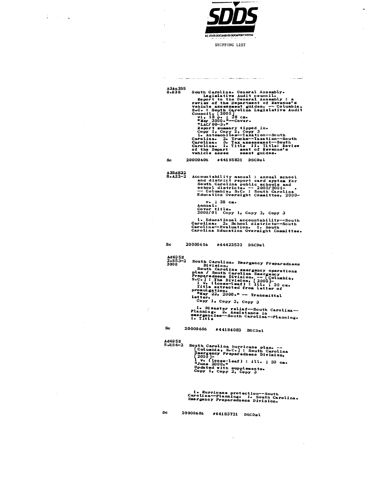

 $7 - 12$ 

ر.<br>س

SHIPPING LIST

والتفتيح المراديات

a como compañado de alteraciones de la compañada de mais de mais de la construcción de la construcción de la c

South Carolina. General Assembly.<br>
Legislative Audit council.<br>
Report to the General Assembly: a<br>
review of the Department of Revenue's<br>
vehicle assessment guides. -- Columbia,<br>
S.C.: South Carolina Legislative Audit<br>
S.C. A3Au 255<br>8.R38 #44185831 DSCDsl  ${\bf Sc}$ 20000606  $A3B4832$ <br>8.A22-2 Accountability manual : annual school<br>and district report card system for<br>South Carolina public achools and<br>school districts. -- 2000/2001-<br>-- Columbia, S.C. : South Carolina<br>Education Oversight Committee, 2000 $v_*$  ; 28 cm.<br>Annual. Annual.<br>Cover title.<br>2000/01 Copy 1, Copy 2, Copy 3 1. Educational accountability--South<br>Carolina. 2. School districts--South<br>Carolina--Evaluation. I. South<br>Carolina Education Oversight Committee. 20000616 #44422532 DSCDsl **Sc** Ad495E<br>2.553-2<br>2000 South Carolina. Emergency Preparedness<br>
Division.<br>
South Carolina emergency operations<br>
plan / South Carolina Emergency<br>
Preparedness Division. -- Columbia,<br>
S.C. | : The Division, [2000]-<br>
Itle extracted from letter of<br>
m 1. Disaster relief--South Carolina---<br>Planning. 2. Assistance in<br>emergencies--South Carolina--Planning.<br>I. Title 20000606 #44184083 DSCDsl  $Sc$ Ad495E<br>8.H86-2 South Carolina hurricane plan. --<br>
[Columbia, S.C.] : South Carolina<br>
Hmergency Preparedness Division,<br>
[2000]-<br>
1 v. (loss-leaf) : ill. ; 30 cm.<br>
"June 2000."<br>
"June 2000"<br>
"June 2000"<br>
"The Copy 1, Copy 2, Copy 3 1. Hurricane protection--South<br>Carolina--Planning. 1. South Carolina.<br>Emergency Preparedness Division. 20000606 #44183721 DSCDsl **Sc**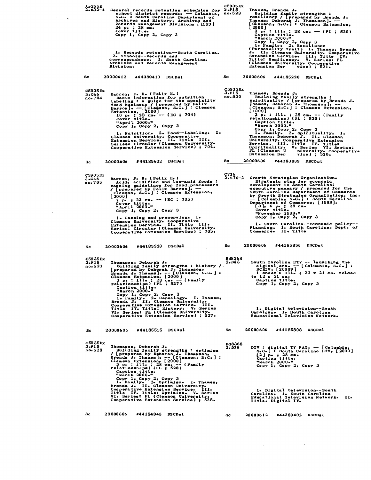| Ar255R                             | 2.232-4 General records retention schedules for $3.415$<br>school district records. -- Columbia, no.529<br>S.C. : South Carolina Department of<br>Archives and History, Archives and<br>Records Management Division, [1999]<br>24 р. ; 28 см.<br>Cover title.<br>Copy 1, Copy $2_7$ Copy 3<br>I. Records retention--South Carolina.<br>2. Schools--Records and<br>correspondence. I. South Carolina.<br>Archives and Records Management<br>Division.                                                                                                    | C5935Ex<br>Thames, Brenda J.<br>Building family strengths :<br>resiliency / [prepared by Brenda J.<br>Thames, Deborah J. Thomason]. --<br>[Clemson, S.C.] : Clemson Extension,<br>[ 2000 ]<br>$3 p. : ill.$ ; 28 cm. -- (FL; 529)<br>Caption title.<br>"March 2000."<br>Copy 1, Copy 2, Copy 3<br>1. Pamily. 2. Resilience<br>(Personality trait) I. Thames, Brenda<br>J. II. Clemson University. Cooperative<br>Extension Service. III. Title IV.<br>Title: Resiliency. V. Series: FL<br>(Clemson University. Cooperative<br><b>Extension Ser</b><br>vice) ; $521.$                                                  |
|------------------------------------|---------------------------------------------------------------------------------------------------------------------------------------------------------------------------------------------------------------------------------------------------------------------------------------------------------------------------------------------------------------------------------------------------------------------------------------------------------------------------------------------------------------------------------------------------------|-----------------------------------------------------------------------------------------------------------------------------------------------------------------------------------------------------------------------------------------------------------------------------------------------------------------------------------------------------------------------------------------------------------------------------------------------------------------------------------------------------------------------------------------------------------------------------------------------------------------------|
| Sc                                 | 20000612<br>#44389410 DSCDsl                                                                                                                                                                                                                                                                                                                                                                                                                                                                                                                            | Sc.<br>20000606<br>#44185220<br>DSCDsl                                                                                                                                                                                                                                                                                                                                                                                                                                                                                                                                                                                |
| C5935 Ex<br>$3 - 046$<br>no. 704   | Barron, F. H. (Felix H.)<br>Basic information for nutrition<br>labeling : a guide for the speciality<br>food business / [prepared by Felix<br>Barron ]. -- [clemson, S.C.] : Clemson<br>Extention, [2000]<br>10 pe : 23 cm- -- (EC ; 704)<br>Cover title.<br>"April 2000."<br>Copy 1, Copy 2, Copy 3<br>Ι.<br>1. Nutrition. 2. Food-Labeling.<br>Clamson University. Cooperative<br>Extension Service. II. Title III.<br>Series: Circular (Clemson University.<br>Cooperative Extension Service) ; 704.                                                 | C5935Ex<br>3.F15<br>Thames, Brenda J.<br>no.530<br>Building family strengths :<br>spirituality / [prepared by Brenda J.<br>Ihames, Deborah J. Ihomason]. --<br>Clemgon, S.C. ] : Clemson Extension,<br>L 1999 ]<br>3 p. : ill. ; 28 cm. -- (Family<br>relationships) (FL ; 530)<br>Caption title.<br>"March 2000."<br>Copy 1, Copy 2, Copy 3<br>1. Family. 2. Spirituality. I.<br>Thomason, Deborah J. II. Clemson<br>University. Cooperative Extension<br>Service. III. Title IV. Title:<br>Spirituality. V. Series VI. Series:<br>FL (Clemson U<br>niversity. Cooperative<br><b>Extension Ser</b><br>$vice)$ ; 530. |
| Sc                                 | #44185622 DSCDsl<br>20000606                                                                                                                                                                                                                                                                                                                                                                                                                                                                                                                            | Sc<br>20000606<br>#44183839 DSCDsl                                                                                                                                                                                                                                                                                                                                                                                                                                                                                                                                                                                    |
| C5935Ex<br>3.C46<br>no. 705        | Barron, F. H. (Felix H.)<br>Acid, acidified and low-acid foods :<br>canning guidelines for food processors<br>[prepared by Felix Barron]. --<br>Clemson, S.C.   : Clemson Extension,<br>[2000]<br>$7 \text{ p} = 23 \text{ cm} = (EC ; 705)$<br>Cover title.<br>"April 2000."<br>Copy 1, Copy 2, Copy 3<br>1. Canning and preserving. I.<br>Clemson University. Cooperative<br>Extension Service. II. Title III.<br>Series: Circular (Clemson University.<br>Cooperative Extension Service) ; 705.                                                      | C736<br>$2 - 576 - 2$<br>Growth Strategies Organization.<br>Strategic plan for economic<br>development in South Carolina:<br>executive summary / prepared for the<br>South Carolina Department of Commerce<br>by Growth Strategies Organization, Inc.<br>- [Columbia, S.C.] : South Carolina<br>Department of Commerce, [1999].<br>[3], 6 р. ; 28 сш.<br>Cover title.<br>"November 1999."<br>$Copy 1e Copy 2e Copy 3$<br>1. South Carolina--Economic policy--<br>Planning. I. South Carolina. Dept. of<br>Commerce. II. Title                                                                                         |
| Sc.                                | #44185529<br><b>DSCDsL</b><br>20000606                                                                                                                                                                                                                                                                                                                                                                                                                                                                                                                  | 20000606<br>#44185856 DSCDsl<br>Sc                                                                                                                                                                                                                                                                                                                                                                                                                                                                                                                                                                                    |
| <b>C5935 Ex</b><br>3.F15<br>no.527 | <b>Thomason, Deborah J.</b><br>Building family strengths : history /<br>prepared by Deborah J. Thomason,<br>Brenda J. Thames]. -- [Clemson, S.C.] :<br>Clemson Extension, [2000]<br>3 p. : ill. ; 28 cm. -- (Family<br>relationships) (FL ; 527)<br>Caption title.<br>"March 2000."<br>Copy 1, Copy 2, Copy 3<br>1. Family. 2. Genealogy. I. Thames,<br>Brenda J. II. Clemson University.<br>Cooperative Extension Service. III.<br>Title IV. Title: History. V. Series<br>VI. Series: FL (Clemson University.<br>Cooperative Extension Service) ; 527. | <b>Ed8368</b><br>South Carolina ETV -- launching the<br>2.043<br>digital era. -- [Columbia, S.C.] :<br>SCETV, [2000?]<br>$1$ sheet: $111 - 23 \times 21$ cm. folded<br>to $12 \times 21$ cm.<br>Caption title.<br>Copy 1, Copy 2, Copy 3<br>1. Digital television--South<br>Carolina. I. South Carolina<br>Educational Television Network.                                                                                                                                                                                                                                                                            |
| Sc.                                | #44185515 DSCDsl<br>20000606                                                                                                                                                                                                                                                                                                                                                                                                                                                                                                                            | 20000606<br>Sc.<br>#44185808 DSCDsl                                                                                                                                                                                                                                                                                                                                                                                                                                                                                                                                                                                   |
| C5935Rx<br>3.F15<br>no.528         | Thomason, Deborah J.<br>Building family strengths : optimism<br>/ [prepared by Deborah J. Thomason,<br>Brenda J. Thames]. - [Clemson, S.C.] :<br>Clemson Extension, [2000]<br>3 p. : ill. ; 28 cm. - [Family<br>relationships] (FL ; 528)<br>Caption title.<br>"March 2000."<br>Copy 1, Copy 2, Copy 3<br>1. Family. 2. Optimism. I. Thames,<br>Brenda J. II. Clemson University.<br>Cooperative Extension Service. III.<br>Title IV. Title: Optimism. V. Series<br>VI. Series: FL (Clemson University.                                                 | <b>Ed8368</b><br>DTV : digital TV FAQ. $-$ [Columbia,<br>2. D78<br>S.C. J: South Carolina ETV, [2000]<br>[2] р. ; 28 сш.<br>Caption title.<br>"March 2000."<br>Copy 1, Copy 2, Copy 3<br>1. Digital television--South<br>Carolina. I. South Carolina<br>Educational Television Network. II.                                                                                                                                                                                                                                                                                                                           |
| Sc.                                | Cooperative Extension Service) ; 528.<br>20000606<br>#44184943 DSCDsl                                                                                                                                                                                                                                                                                                                                                                                                                                                                                   | Title: Digital TV.<br>Sc<br>20000612<br>#44389402 DSCDsl                                                                                                                                                                                                                                                                                                                                                                                                                                                                                                                                                              |
|                                    |                                                                                                                                                                                                                                                                                                                                                                                                                                                                                                                                                         |                                                                                                                                                                                                                                                                                                                                                                                                                                                                                                                                                                                                                       |

 $\mathcal{L}^{\text{max}}_{\text{max}}$  , where  $\mathcal{L}^{\text{max}}_{\text{max}}$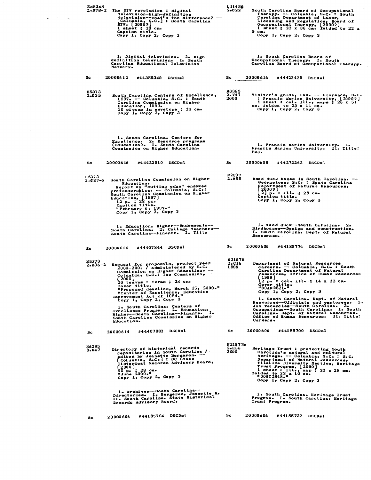| E48368                     | 2.D78-2 The DIV revolution : digital<br>television-high-definition<br>television--what's the difference? --<br>[Columbia, S.C.] : South Carolina<br>ETV, [2000?]<br>$1$ sheet; $28$ cm.<br>Caption title.<br>Copy 1, Copy 2, Copy 3                                                                                                                                                                                                                                                                           | L 114 HO<br>$2-022$            | South Carolina Board of Occupational<br>Therapy. -- Columbia, S.C. : South<br>Carolina Department of Labor,<br>Licensing and Regulation, Board of<br>Occupational Therapy, [2000?]<br>1 sheet; $22 \times 36$ cm. folded to $22 \times$<br>$9 \, c =$<br>Copy 1, Copy 2, Copy 3                                                                                                                                                                                                                                                  |
|----------------------------|---------------------------------------------------------------------------------------------------------------------------------------------------------------------------------------------------------------------------------------------------------------------------------------------------------------------------------------------------------------------------------------------------------------------------------------------------------------------------------------------------------------|--------------------------------|----------------------------------------------------------------------------------------------------------------------------------------------------------------------------------------------------------------------------------------------------------------------------------------------------------------------------------------------------------------------------------------------------------------------------------------------------------------------------------------------------------------------------------|
|                            | 1. Digital television. 2. High<br>definition television. I. South<br>Carolina Educational Television<br>Network.                                                                                                                                                                                                                                                                                                                                                                                              |                                | 1. South Carolina Board of<br>Occupational Therapy. I. South<br>Carolina Board of Occupational Therapy.                                                                                                                                                                                                                                                                                                                                                                                                                          |
| Sc                         | 20000612<br>#44389349<br>DSCDsl                                                                                                                                                                                                                                                                                                                                                                                                                                                                               | Sc                             | 20000616<br>#44422429<br>DSCDsl                                                                                                                                                                                                                                                                                                                                                                                                                                                                                                  |
| <b>H5373</b><br>$2 - 0.35$ | South Carolina Centers of Excellence,<br>1997. - Columbia, S.C. : South<br><b>Carolina Commission on Higher</b><br>Education, 1997.<br>10 pieces in envelope ; 23 cm.<br>Copy 1, Copy 2, Copy 3                                                                                                                                                                                                                                                                                                               | M3385<br>2. V4 7<br>2000       | Visitor's guide, FMU. -- Florence, S.C.<br>: Francis Marion University, [2000?]<br>1 sheet : col. 11 maps ; 23 x 51<br>cm. folded to 23 x 11 cm.<br>Copy 1, Copy 2, Copy 3                                                                                                                                                                                                                                                                                                                                                       |
|                            | 1. South Carolina. Centers for<br>Excellence. 2. Resource programs<br>(Education). 1. South Carolina<br>Commission on Higher Education.                                                                                                                                                                                                                                                                                                                                                                       |                                | 1. Francis Marion University. I.<br>Francis Marion University. Il. Title:<br>FMU.                                                                                                                                                                                                                                                                                                                                                                                                                                                |
| Sc.                        | 20000616<br>#44422510 DSCDsl                                                                                                                                                                                                                                                                                                                                                                                                                                                                                  | Sc                             | 20000609<br>#44272263 DSCDsl                                                                                                                                                                                                                                                                                                                                                                                                                                                                                                     |
| <b>H5373</b><br>$2.87 - 5$ | South Carolina Commission on Higher<br>Education.<br>Report on "cutting edge" endowed<br>professorships. -- Columbia, S.C.:<br>South Carolina Commission on Higher<br>Education, [1997]<br>12 p. ; 28 cm.<br>Caption title.<br>"February 6, 1997."<br>Copy 1, Copy 2, Copy 3                                                                                                                                                                                                                                  | N2197<br>$2 - 55$              | Wood duck boxes in South Carolina. --<br>Georgetown, S.C. : South Carolina<br><b>Pepartment of Natural Resources,</b><br>20002]<br>$2$ $p. : 111. : 28 cm.$<br>Caption title.<br>Copy 1, Copy 2, Copy 3                                                                                                                                                                                                                                                                                                                          |
|                            | 1. Education, Higher--Endowments--<br>South Carolina. 2. College teachers-<br>South Carolina--Finance. I. Title                                                                                                                                                                                                                                                                                                                                                                                               |                                | 1. Wood duck--South Carolina. 2.<br>Birdhouses--Design and construction.<br>I. South Carolina. Dept. of Natural<br>Resources.                                                                                                                                                                                                                                                                                                                                                                                                    |
| Sc.                        | #44407844 DSCDsl<br>20000614                                                                                                                                                                                                                                                                                                                                                                                                                                                                                  | Sc                             | 20000606<br>#44185774 DSCDsl                                                                                                                                                                                                                                                                                                                                                                                                                                                                                                     |
| H5373<br>2.R36–2           | Request for proposals, project year<br>2000-2001 / administered by S.C.<br>Commission on Higher Education. --<br>Columbia, S.C.: The Commission,<br>2000 J<br>20 leaves : forms ; 28 cm.<br>Cover title.<br>"Proposed deadline, March 15, 2000."<br>"Center of Excellence, Education<br>Improvement Act of 1984."<br>Copy 1, Copy 2, Copy 3<br>1. South Carolina. Centers of<br>Excellence Program. 2. Education.<br>Righer--South Carolina--Finance. I.<br>South Carolina Commission on Higher<br>Education. | <b>N2197H</b><br>2.016<br>1999 | <b>Department of Natural Resources</b><br>careers. -- Columbia, S.C. : South<br>Carolina Department of Natural<br>Resources, Office of Human Resources<br>[1999]<br>12 p. : col. ill. ; 14 x 22 cm.<br>Cover title.<br>"99AD2521."<br>Copy 1, Copy 2, Copy 3<br>1. South Carolina. Dept. of Natural<br>Resources--Officials and employees. 2.<br><b>Job vacancies--South Carolina. 3.</b><br>Occupations--South Carolina. I. South<br>Carolina. Dept. of Natural Resources.<br>Office of Human Resources. Il. Title:<br>Careers. |
| ÷.<br>Sc.                  | #44407883 DSCDsl<br>20000614                                                                                                                                                                                                                                                                                                                                                                                                                                                                                  | Sc                             | 20000606<br>#44185700 DSCDsl                                                                                                                                                                                                                                                                                                                                                                                                                                                                                                     |
| 116295<br>8.H47            | Directory of historical records<br>repositories in South Carolina /<br>edited by Jeanette Bergeron. --<br>[Columbia, S.C.]: SC State<br>Historical Records Advisory Board,<br>$\begin{bmatrix} 2000 \\ 50 \text{ p} & 28 \text{ cm} \\ 1 \text{ June} & 2000 \text{ s} \\ 0 & 0 & 0 \end{bmatrix}$<br>Copy 1, Copy 2, Copy 3                                                                                                                                                                                  | N 2197 He<br>2.836<br>2000     | Heritage Trust : protecting South<br>Carolina's natural and cultural<br>heritage. -- Columbia, S.C. : S.C.<br>Department of Natural Resources,<br>Wildlife Diversity Section, Heritage<br>Trust Program, [2000]<br>1 sheet $\frac{1}{2}$ ill., map $\frac{1}{2}$ 22 x 28 cm.<br>folded to 22 x 10 cm.<br>Copy $1$ , Copy $2$ , Copy $3$                                                                                                                                                                                          |
|                            | 1. Archives--South Carolina--<br>Directories. I. Bergeron, Jeanette M.<br>II. South Carolina. State Historical<br>Records Advisory Board.                                                                                                                                                                                                                                                                                                                                                                     |                                | i. South Carolina. Heritage Trust<br>Program. I. South Carolina. Heritage<br>Trust Program.                                                                                                                                                                                                                                                                                                                                                                                                                                      |
| Sc                         | #44185794 DSCDsl<br>20000606                                                                                                                                                                                                                                                                                                                                                                                                                                                                                  | Sc.                            | 20000606<br>#44185732 DSCDsl                                                                                                                                                                                                                                                                                                                                                                                                                                                                                                     |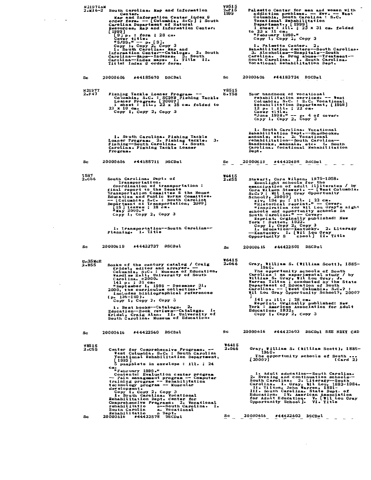|    | <b>N2197LaM</b><br>[ 1999 ]                                      | Center.<br>Carolina Department of Natural<br>$[9]$ p. : form ; 28 cm.<br>Cover title.<br>"5/99."--- p. [9].<br>Copy 1, Copy 2, Copy 3<br>1. South Carolina. Map and<br>Title: Index & order form.         | 2.M16-2 South Carolina. Map and Information<br>Map and Information Center index &<br>order form. -- [Columbia, S.C.]; South<br>Resources, Map and Information Center,<br>Information Center--Catalogue 2. South<br>Carolina-Maps--Indexes. 3. South<br>Carolina-Index maps. I. Title II.                                                                                      | V8515<br>$2 - P15$<br>1999   | Palmetto Center for men and women with<br>addiction problems. -- Rev. -- West<br>Columbia, South Carolina : S.C.<br>Vocational Rehabilitation<br>Department., [1999]<br>1 sheet: ill.; 23 x 31 cm. folded<br>to 23 x 11 cm.<br>"February 1999."<br>Сору 1, Сору 2, Сору 3<br>l. Palmetto Center. 2.<br>Rehabilitation centers-South Carolina.<br>3. Alcoholism--Hospitals--South<br>Carolina. 4. Drug abuse--Treatment--<br>South Carolina. I. South Carolina.<br>Vocational Rehabilitation Dept.                                                                                                    |
|----|------------------------------------------------------------------|-----------------------------------------------------------------------------------------------------------------------------------------------------------------------------------------------------------|-------------------------------------------------------------------------------------------------------------------------------------------------------------------------------------------------------------------------------------------------------------------------------------------------------------------------------------------------------------------------------|------------------------------|------------------------------------------------------------------------------------------------------------------------------------------------------------------------------------------------------------------------------------------------------------------------------------------------------------------------------------------------------------------------------------------------------------------------------------------------------------------------------------------------------------------------------------------------------------------------------------------------------|
| Sc | 20000606                                                         | #44185670 DSCDsl                                                                                                                                                                                          |                                                                                                                                                                                                                                                                                                                                                                               | Sc                           | 20000606<br>#44183734 DSCDsl                                                                                                                                                                                                                                                                                                                                                                                                                                                                                                                                                                         |
|    | N2197T<br>2.F47                                                  | $22 \times 10$ cm.<br>Copy 1, Copy 2, Copy 3                                                                                                                                                              | Fishing Tackle Loaner Program. --<br>Columbia, S.C. : SCDNR Fishing Tackle<br>Loaner Program, [2000?]<br>1 sheet: Ill., 22 x 28 cm. folded to                                                                                                                                                                                                                                 | <b>V8515</b><br>8.Y58        | Your handbook of vocational<br>rehabilitation services. -- West<br>Columbia, S.C. : S.C. Vocational<br>Eehabilitation Department, [1998]<br>12 p. : 111. : 22 c.m.<br>Cover title.<br>"June $1998 \cdot$ " -- p. 4 of cover.<br>Copy 1, Copy 2, Copy 3                                                                                                                                                                                                                                                                                                                                               |
|    | Program.                                                         | Carolina. Fishing Tackle Loaner                                                                                                                                                                           | 1. South Carolina. Fishing Tackle<br>Loaner Program. 2. Fishing tackle.<br>з.<br>Fishing-South Carolina. I. South                                                                                                                                                                                                                                                             |                              | 1. South Carolina. Vocational<br>Rehabilitation Dept.--Handbooks,<br>manuals, etc. 2. Vocational<br>rehabilitation--South Carolina--<br>Handbooks, manuals, etc. I. South<br>Carolina. Vocational Rehabilitation<br>Dept.                                                                                                                                                                                                                                                                                                                                                                            |
| Sc | 20000606                                                         | #44185711 DSCDsl                                                                                                                                                                                          |                                                                                                                                                                                                                                                                                                                                                                               | Sc                           | 20000619<br>#44432498 DSCDsl                                                                                                                                                                                                                                                                                                                                                                                                                                                                                                                                                                         |
|    | 1587<br>$2 - C56$                                                | South Carolina. Dept. of<br>Iransportation.<br>final report to the Senate<br>15 leaves ; 28 cm.<br>May 2000."<br>Copy 1, Copy 2, Copy 3<br>Planning. I. Title                                             | Coordination of transportation:<br>Iransportation Committee & the House<br>Education and Public Works Committee.<br>-- (Columbia, S.C. : South Carolina<br>Department of Iransportation, 2000]<br>1. Iransportation--South Carolina--                                                                                                                                         | <b>V6415</b><br><b>2.M55</b> | Stewart, Cora Wilson, 1875-1958.<br>Moonlight schools for the<br>emancipation of adult illiterates / by<br>Cora Wilson Stewart. -- [West Columbia,<br>S.C. ?: Wil Lou Gray Opportunity<br>School?, 2000?]<br>xiv, 194 p. : 111. ; 22 cm.<br>"Historical reprint." -- Cover.<br>"Inspiration for Wil Lou Gray's night<br>schools and opportunity schools in<br>South Carolina." -- Cover.<br>Reprint. Orginally published: New<br>York : Dutton, 1922.<br>Copy $1$ , Copy $2$ , Copy $3$<br>1. Education--Kentucky. 2. Literary<br>--Kentucky. I. [Wil Lou Gray<br>chool   II. Title<br>Opportunity S |
| Sc | 20000619                                                         | #44432737 DSCDsl                                                                                                                                                                                          |                                                                                                                                                                                                                                                                                                                                                                               | Sc                           | #44422501 DSCDsl<br>20000616                                                                                                                                                                                                                                                                                                                                                                                                                                                                                                                                                                         |
|    | $Un35$ McE<br>2.B55                                              | Kridel, editor and arrayer. --<br>Carolina, c2000.<br>141 p. ; 31 cm.<br>$(p_0 136 - 140)$ .<br>Copy 1, Copy 2, Copy 3<br>1. Best books--Catalogs.                                                        | Books of the century catalog / Craig<br>Columbia, S.C. : Museum of Education,<br>Wardlaw Hall, University of South<br>"September 1, 1999 - December 31,<br>2000, the curriculum collection."<br>Includes bibliographical references<br>2.<br>Education--Book reviews--Catalogs. I.<br>Kridel, Craig Alan. II. University of<br>South Carolina. Museum of Education.           | <b>W6415</b><br>2.066        | Gray, William S. (William Scott), 1885-<br>1960.<br>The opportunity schools of South<br>Carolina : an experimental study / by<br>William S. Gray, Wil Lou Gray, J.<br>Warren Tilton ; conducted by the State<br>Department of Education of South<br>Carolina. -- [West Columbia, S.C.? :<br><b>Wil Lou Gray Opportunity School?, 2000?</b><br>141 p. ill. ; 28 cm.<br>Reprint. Orginally published: New<br>York : American Association for Adult<br><b>Education, 1932.</b><br>Copy $l_2$ Copy $22$ Copy 3                                                                                           |
| Sc | 20000616                                                         | #44422560 DSCDsl                                                                                                                                                                                          |                                                                                                                                                                                                                                                                                                                                                                               | Sc                           | 20000616<br>#44422603 DSCDsl SEE NEXT CRD                                                                                                                                                                                                                                                                                                                                                                                                                                                                                                                                                            |
|    | V8515<br><b>2.C55</b><br>[ 1999 ]<br>$_{\mathbf{c}\mathbf{n}}$ . | "February 1999."<br>technology program -- Muscular<br>development.<br>Copy 1, Copy 2, Copy 3<br>1. South Carolina. Vocational<br>Rehabilitation Dept. Center for<br>rehabilitatio<br><b>South Carolin</b> | Center for Comprehensive Programs. --<br>West Columbia, S.C. : South Carolina<br><b>Vocational Rehabilitation Department,</b><br>5 pamphlets in envelope : ill. ; 24<br>Contents: Evaluation center program<br>- Pain management program -- Computer<br>training program -- Rehabilitation<br>Comprehensive Programs. 2. Vocational<br>n--South Carolina. I.<br>a. Vocational | <b>W6415</b><br>2.066        | Gray, William S. (William Scott), 1885-<br>1960.<br>The opportunity schools of South<br>[2000?]<br>(Card 2)<br>1. Adult education--South Carolina.<br>2. Evening and continuation schools--<br>South Carolina. 3. Literacy-South<br>Carolina. I. Gray, Wil Lou, 1883-1984.<br>II. Tilton, John Warren, 1891-<br>III. South Carolina. State Dept. of<br>Education. IV. American Association<br>for Adult Education. V. [Wil Lou Gray<br>Opportunity School]. VI. Title                                                                                                                                |
|    | Sc<br>20 000 616                                                 | Rehabilitatio<br>#44422578 DSCDsl                                                                                                                                                                         | n Dept.                                                                                                                                                                                                                                                                                                                                                                       | Sc <sub>_</sub>              | 20000616<br>#44422603 DSCDsl                                                                                                                                                                                                                                                                                                                                                                                                                                                                                                                                                                         |

 $\mathcal{L}^{\text{max}}_{\text{max}}$ 

 $\omega_{\rm{eff}}$  ,  $\omega_{\rm{eff}}$  ,  $\omega_{\rm{eff}}$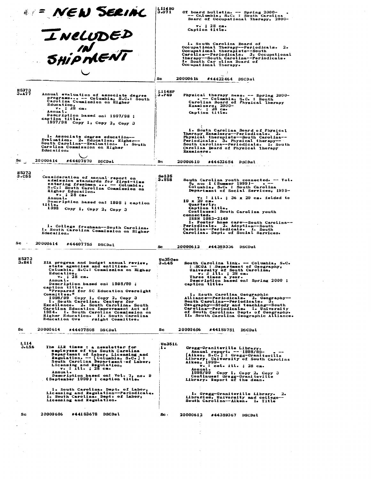|                       | <b>EXEN SERIAL</b><br>INELUDED                                                                                                                                                                                                                                                                                                                  | L114HO<br>3.071        | OT board bulletin. -- Spring 2000-<br>-- Calumbia, S.C. : South Carolina<br>Board of Occupational Therapy, 2000-                                                                                                                                                                               |
|-----------------------|-------------------------------------------------------------------------------------------------------------------------------------------------------------------------------------------------------------------------------------------------------------------------------------------------------------------------------------------------|------------------------|------------------------------------------------------------------------------------------------------------------------------------------------------------------------------------------------------------------------------------------------------------------------------------------------|
|                       |                                                                                                                                                                                                                                                                                                                                                 |                        | $v = 28$ cm.<br>Caption title.                                                                                                                                                                                                                                                                 |
|                       | SHIPMENT                                                                                                                                                                                                                                                                                                                                        |                        | 1. South Carolina Board of<br>Occupational Therapy--Periodicals. 2.<br>Occupational therapists--South<br>Carolina-Periodicals. 3. Occupational<br>therapy--South Carolina--Periodicals.<br>I. South Car olina Board of<br>Occupational Therapy.                                                |
|                       |                                                                                                                                                                                                                                                                                                                                                 | Sc                     | #44422464 DSCDsl<br>20000616                                                                                                                                                                                                                                                                   |
| <b>H5373</b><br>3.A77 | Annual evaluation of associate degree<br>programs -- Columbia, S.C.: South<br>Carolina Commission on Higher<br>Education,<br>$v -$ ; 28 cm.<br>Annual.<br>Description based on: 1997/98 ;<br>caption title.<br>1997/98 Сору 1, Сору 2, Сору 3                                                                                                   | <b>L114HP</b><br>3.P49 | Physical therapy news. -- Spring 2000-<br>. -- Columbia, S.C. : South<br>Carolina Board of Physical Therapy<br>Examiners, $2000-$<br>$\sqrt{28}$ cm.<br>Caption title.                                                                                                                         |
|                       | 1. Associate degree education--<br>Evaluation. 2. Education, Higher--<br>South Carolina--Evaluation. I. South<br>Carolina Commission on Higher<br>Education.                                                                                                                                                                                    |                        | 1. South Carolina Board of Physical<br>Therapy Examiners--Periodicals. 2.<br>Physical therapists--South Carolina--<br>Periodicals. 3. Physical therapy--<br>South Carolina--Periodicals. I. South<br>Carolina Board of Physical Therapy<br>Examiners.                                          |
| Sc                    | 20000614<br>#44407870 DSCDsL                                                                                                                                                                                                                                                                                                                    | Sc                     | 20000619<br>#44432684 DSCDsl                                                                                                                                                                                                                                                                   |
| H5373<br>$3 - C55$    | Consideration of annual report on<br>admission standards for first-time<br>entering freshmen  - Columbia,<br>S.C.: South Carolina Commission on<br>Higher Education.<br>$\sqrt{28}$ cm.<br>Annual.                                                                                                                                              | So 135<br>3.T58        | South Carolina youth connected. -- Vol.<br>$5, no. 1$ (Summer 1999)- . --<br>Columbia, S.C. : South Carolina<br>Department of Social Services, 1999-<br>v. : ill. ; 36 x 29 cm. folded to                                                                                                      |
|                       | Description based on: 1998 ; caption<br>title.<br>1998 Сору 1, Сору 2, Сору 3                                                                                                                                                                                                                                                                   |                        | $19 \times 29$ cm.<br>Quarterly.<br>Caption title.<br>Continues: South Carolina youth<br>connected.<br>ISSN 1083-2149<br>1. Foster home care--South Carolina--                                                                                                                                 |
|                       | 1. College freshman--South Carolina.<br>I. South Carolina Commission on Higher<br>Education.                                                                                                                                                                                                                                                    |                        | Periodicals. 2. Adoption--South<br>Carolina--Periodicals. I. South<br>Carolina. Dept. of Social Services.                                                                                                                                                                                      |
| Sc.                   | 20000614<br>#44407755 DSCDsl                                                                                                                                                                                                                                                                                                                    | Sc                     | 20000612<br>#44389336 DSCDsl                                                                                                                                                                                                                                                                   |
| H 5373<br>3.B4 i      | EIA program and budget annual review,<br>state agencies and entities. --<br>Columbia, S.C.: Commission on Higher<br>Education,<br>$v_{\bullet}$ ; 28 cm.<br>Annual.                                                                                                                                                                             | Un35 Geo<br>3.L45      | South Carolina link. -- Columbia, S.C.<br>: SCGA : Department of Geography,<br>University of South Carolina,<br>$\mathbf{v} \cdot \mathbf{A}$ ill. ; 28 cm.<br>Three times a year.<br>Description based on: Spring 2000;                                                                       |
|                       | Description based on: 1998/99;<br>caption title.<br>"Prepared for SC Education Oversight<br>Committee."<br>$1998/99$ Copy 1, Copy 2, Copy 3<br>1. South Carolina. Centers for<br>Excellence. 2. South Carolina. South<br>Carolina Education Improvement Act of<br>1984. I. South Carolina Commission on<br>Higher Education. II. South Carolina |                        | caption title.<br>1. South Carolina Geographic<br>Alliance--Periodicals. 2. Geography--<br>South Carolina--Periodicals. 3.<br>Geography--Study and teaching--South<br>Carolina-Periodicals. I. University<br>of South Carolina. Dept. of Geography.<br>II. South Carolina Geographic Alliance. |
| Sc                    | <b>Education Ove</b><br>rsight Committee.<br>20000614<br>#44407808 DSCDsl                                                                                                                                                                                                                                                                       | Sc                     | 20000606<br>#44185781 DSCDsl                                                                                                                                                                                                                                                                   |
|                       |                                                                                                                                                                                                                                                                                                                                                 |                        |                                                                                                                                                                                                                                                                                                |
| L114<br>3.L56         | The LLR times : a newsletter for<br>employees of the South Carolina<br>Department of Labor, Licensing and<br>Regulation. -- [Columbia, S.C.] :<br>South Carolina Department of Labor,<br>Licensing and Regulation,<br>v. : ill. ; 28 cm.<br>Annual.<br>Description based on: Vol. 7, no. 9                                                      | Un351L<br>1.           | Gregg-Graniteville Library.<br>Annual report. -- 1998/99-<br>[Aiken, S.C.]: Gregg-Graniteville<br>Library, University of South Carolina<br>Aiken, 1999-<br>$\mathbf{v}$ . : col. ill. ; 28 cm.<br>Annual.<br>1998/99 Сору 1, Сору 2, Сору 3<br>Continues: Gregg-Graniteville                   |
|                       | (September 1999) ; caption title.<br>1. South Carolina. Dept. of Labor,<br>Licensing and Regulation--Periodicals.<br>I. South Carolina. Dept. of Labor,<br>Licensing and Regulation.                                                                                                                                                            |                        | Library. Report of the dean.<br>1. Gregg-Graniteville Library. 2.<br>Libraries, University and college--<br>South Carolina--Alken. I. Title                                                                                                                                                    |
| Sc                    | 20000606<br>#44183678 DSCDsl                                                                                                                                                                                                                                                                                                                    | Sc.                    | 20000612<br>#44389367 DSCDsl                                                                                                                                                                                                                                                                   |
|                       |                                                                                                                                                                                                                                                                                                                                                 |                        |                                                                                                                                                                                                                                                                                                |
|                       |                                                                                                                                                                                                                                                                                                                                                 |                        |                                                                                                                                                                                                                                                                                                |
|                       |                                                                                                                                                                                                                                                                                                                                                 |                        |                                                                                                                                                                                                                                                                                                |
|                       |                                                                                                                                                                                                                                                                                                                                                 |                        |                                                                                                                                                                                                                                                                                                |

 $\sim$ 

 $\sim$